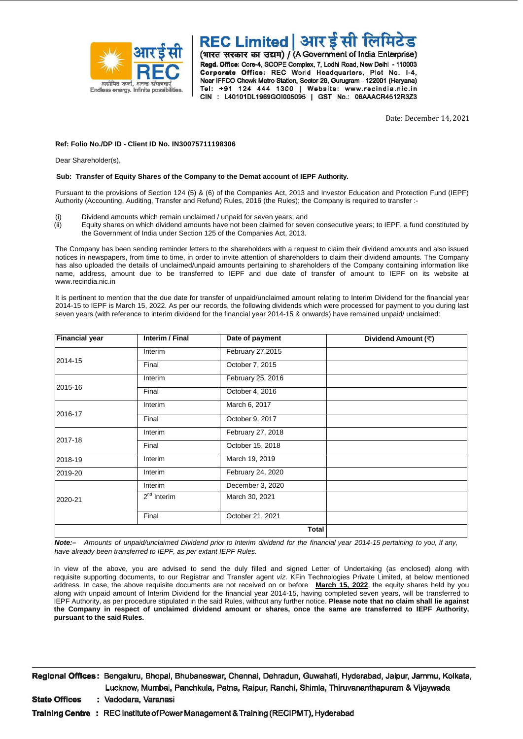

REC Limited | आर ईसी लिमिटेड (भारत सरकार का उद्यम) / (A Government of India Enterprise) Regd. Office: Core-4, SCOPE Complex, 7, Lodhi Road, New Delhi - 110003 Corporate Office: REC World Headquarters, Plot No. I-4, Near IFFCO Chowk Metro Station, Sector-29, Gurugram - 122001 (Haryana) Tel: +91 124 444 1300 | Website: www.recindia.nic.in CIN : L40101DL1969GOI005095 | GST No.: 06AAACR4512R3Z3

Date: December 14, 2021

#### **Ref: Folio No./DP ID - Client ID No. IN30075711198306**

Dear Shareholder(s),

#### **Sub: Transfer of Equity Shares of the Company to the Demat account of IEPF Authority.**

Pursuant to the provisions of Section 124 (5) & (6) of the Companies Act, 2013 and Investor Education and Protection Fund (IEPF) Authority (Accounting, Auditing, Transfer and Refund) Rules, 2016 (the Rules); the Company is required to transfer :-

- (i) Dividend amounts which remain unclaimed / unpaid for seven years; and
- (ii) Equity shares on which dividend amounts have not been claimed for seven consecutive years; to IEPF, a fund constituted by the Government of India under Section 125 of the Companies Act, 2013.

The Company has been sending reminder letters to the shareholders with a request to claim their dividend amounts and also issued notices in newspapers, from time to time, in order to invite attention of shareholders to claim their dividend amounts. The Company has also uploaded the details of unclaimed/unpaid amounts pertaining to shareholders of the Company containing information like name, address, amount due to be transferred to IEPF and due date of transfer of amount to IEPF on its website at www.recindia.nic.in

It is pertinent to mention that the due date for transfer of unpaid/unclaimed amount relating to Interim Dividend for the financial year 2014-15 to IEPF is March 15, 2022. As per our records, the following dividends which were processed for payment to you during last seven years (with reference to interim dividend for the financial year 2014-15 & onwards) have remained unpaid/ unclaimed:

| <b>Financial year</b> | Interim / Final | Date of payment   | Dividend Amount (₹) |
|-----------------------|-----------------|-------------------|---------------------|
| 2014-15               | Interim         | February 27,2015  |                     |
|                       | Final           | October 7, 2015   |                     |
| 2015-16               | Interim         | February 25, 2016 |                     |
|                       | Final           | October 4, 2016   |                     |
| 2016-17               | Interim         | March 6, 2017     |                     |
|                       | Final           | October 9, 2017   |                     |
| 2017-18               | Interim         | February 27, 2018 |                     |
|                       | Final           | October 15, 2018  |                     |
| 2018-19               | Interim         | March 19, 2019    |                     |
| 2019-20               | Interim         | February 24, 2020 |                     |
| 2020-21               | Interim         | December 3, 2020  |                     |
|                       | $2nd$ Interim   | March 30, 2021    |                     |
|                       | Final           | October 21, 2021  |                     |
|                       |                 | <b>Total</b>      |                     |

**Note:**- Amounts of unpaid/unclaimed Dividend prior to Interim dividend for the financial year 2014-15 pertaining to you, if any, *have already been transferred to IEPF, as per extant IEPF Rules.*

In view of the above, you are advised to send the duly filled and signed Letter of Undertaking (as enclosed) along with requisite supporting documents, to our Registrar and Transfer agent *viz*. KFin Technologies Private Limited, at below mentioned address. In case, the above requisite documents are not received on or before **March 15, 2022**, the equity shares held by you along with unpaid amount of Interim Dividend for the financial year 2014-15, having completed seven years, will be transferred to IEPF Authority, as per procedure stipulated in the said Rules, without any further notice. **Please note that no claim shall lie against the Company in respect of unclaimed dividend amount or shares, once the same are transferred to IEPF Authority, pursuant to the said Rules.**

Regional Offices: Bengaluru, Bhopal, Bhubaneswar, Chennai, Dehradun, Guwahati, Hyderabad, Jaipur, Jammu, Kolkata, Lucknow, Mumbai, Panchkula, Patna, Raipur, Ranchi, Shimla, Thiruvananthapuram & Vijaywada

**State Offices** : Vadodara, Varanasi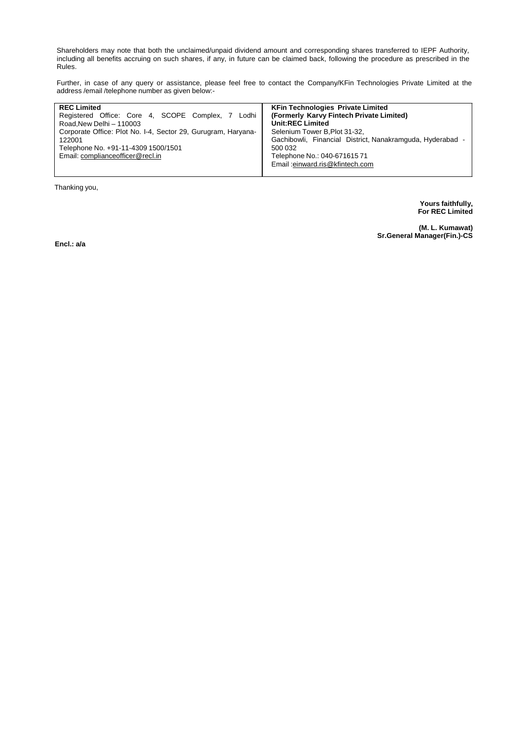Shareholders may note that both the unclaimed/unpaid dividend amount and corresponding shares transferred to IEPF Authority, including all benefits accruing on such shares, if any, in future can be claimed back, following the procedure as prescribed in the Rules.

Further, in case of any query or assistance, please feel free to contact the Company/KFin Technologies Private Limited at the address /email /telephone number as given below:-

| <b>REC Limited</b>                                            | <b>KFin Technologies Private Limited</b>                  |
|---------------------------------------------------------------|-----------------------------------------------------------|
| Registered Office: Core 4, SCOPE Complex, 7 Lodhi             | (Formerly Karvy Fintech Private Limited)                  |
| Road.New Delhi - 110003                                       | <b>Unit:REC Limited</b>                                   |
| Corporate Office: Plot No. I-4, Sector 29, Gurugram, Haryana- | Selenium Tower B.Plot 31-32.                              |
| 122001                                                        | Gachibowli, Financial District, Nanakramguda, Hyderabad - |
| Telephone No. +91-11-4309 1500/1501                           | 500 032                                                   |
| Email: compliance officer@recl.in                             | Telephone No.: 040-67161571                               |
|                                                               | Email:einward.ris@kfintech.com                            |
|                                                               |                                                           |

Thanking you,

**Yours faithfully, For REC Limited**

**(M. L. Kumawat) Sr.General Manager(Fin.)-CS** 

**Encl.: a/a**